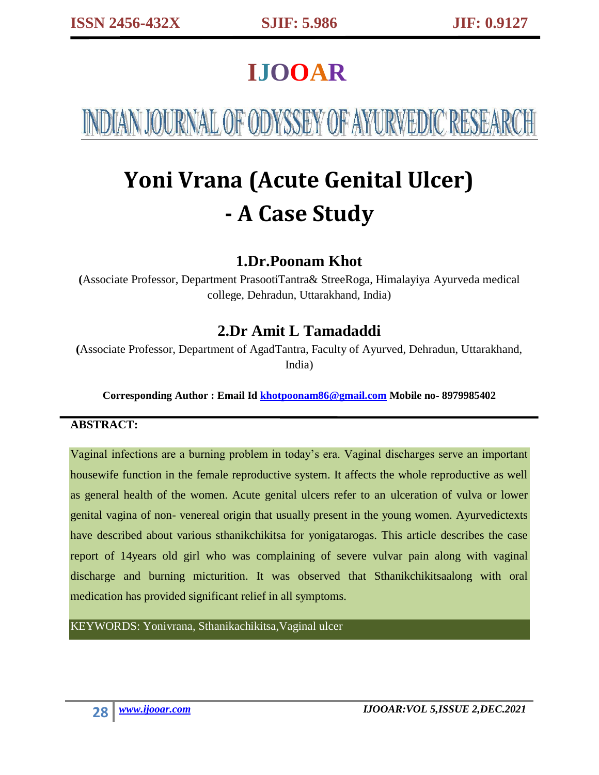## **IJOOAR**

NDIAN JOURNAL OF ODYSSEY OF AYURVEDIC RESEAR

# **Yoni Vrana (Acute Genital Ulcer) - A Case Study**

## **1.Dr.Poonam Khot**

**(**Associate Professor, Department PrasootiTantra& StreeRoga, Himalayiya Ayurveda medical college, Dehradun, Uttarakhand, India)

## **2.Dr Amit L Tamadaddi**

**(**Associate Professor, Department of AgadTantra, Faculty of Ayurved, Dehradun, Uttarakhand, India)

**Corresponding Author : Email Id [khotpoonam86@gmail.com](mailto:khotpoonam86@gmail.com) Mobile no- 8979985402**

#### **ABSTRACT:**

Vaginal infections are a burning problem in today's era. Vaginal discharges serve an important housewife function in the female reproductive system. It affects the whole reproductive as well as general health of the women. Acute genital ulcers refer to an ulceration of vulva or lower genital vagina of non- venereal origin that usually present in the young women. Ayurvedictexts have described about various sthanikchikitsa for yonigatarogas. This article describes the case report of 14years old girl who was complaining of severe vulvar pain along with vaginal discharge and burning micturition. It was observed that Sthanikchikitsaalong with oral medication has provided significant relief in all symptoms.

KEYWORDS: Yonivrana, Sthanikachikitsa,Vaginal ulcer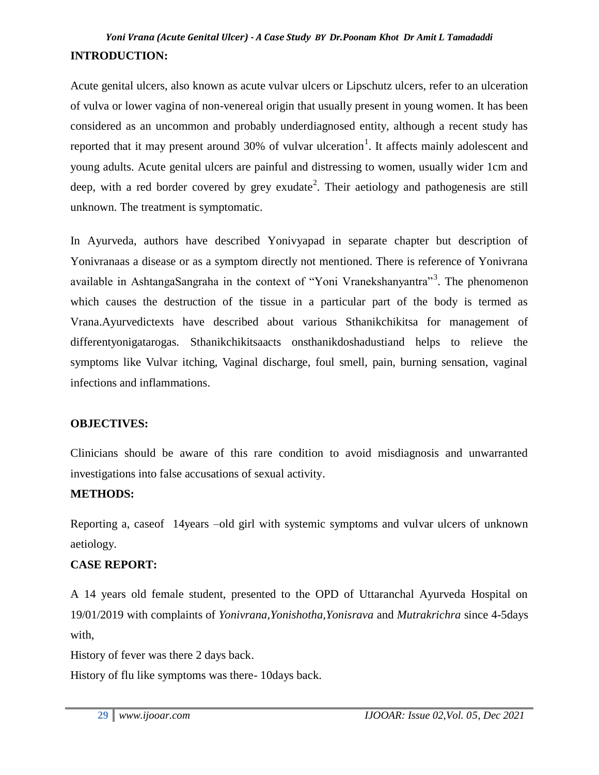## *Yoni Vrana (Acute Genital Ulcer) - A Case Study BY Dr.Poonam Khot Dr Amit L Tamadaddi*  **INTRODUCTION:**

Acute genital ulcers, also known as acute vulvar ulcers or Lipschutz ulcers, refer to an ulceration of vulva or lower vagina of non-venereal origin that usually present in young women. It has been considered as an uncommon and probably underdiagnosed entity, although a recent study has reported that it may present around 30% of vulvar ulceration<sup>1</sup>. It affects mainly adolescent and young adults. Acute genital ulcers are painful and distressing to women, usually wider 1cm and deep, with a red border covered by grey exudate<sup>2</sup>. Their aetiology and pathogenesis are still unknown. The treatment is symptomatic.

In Ayurveda, authors have described Yonivyapad in separate chapter but description of Yonivranaas a disease or as a symptom directly not mentioned. There is reference of Yonivrana available in AshtangaSangraha in the context of "Yoni Vranekshanyantra"<sup>3</sup>. The phenomenon which causes the destruction of the tissue in a particular part of the body is termed as Vrana.Ayurvedictexts have described about various Sthanikchikitsa for management of differentyonigatarogas. Sthanikchikitsaacts onsthanikdoshadustiand helps to relieve the symptoms like Vulvar itching, Vaginal discharge, foul smell, pain, burning sensation, vaginal infections and inflammations.

#### **OBJECTIVES:**

Clinicians should be aware of this rare condition to avoid misdiagnosis and unwarranted investigations into false accusations of sexual activity.

#### **METHODS:**

Reporting a, caseof 14years –old girl with systemic symptoms and vulvar ulcers of unknown aetiology.

#### **CASE REPORT:**

A 14 years old female student, presented to the OPD of Uttaranchal Ayurveda Hospital on 19/01/2019 with complaints of *Yonivrana,Yonishotha,Yonisrava* and *Mutrakrichra* since 4-5days with,

History of fever was there 2 days back.

History of flu like symptoms was there- 10days back.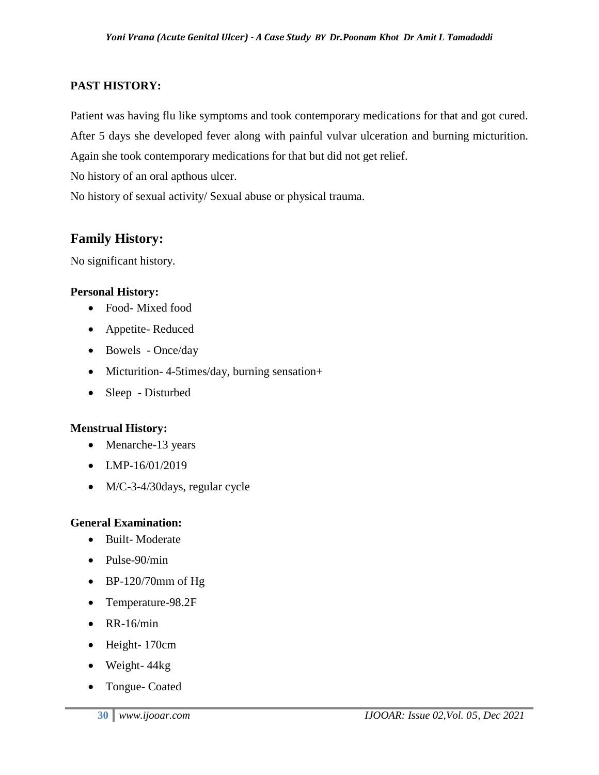#### **PAST HISTORY:**

Patient was having flu like symptoms and took contemporary medications for that and got cured. After 5 days she developed fever along with painful vulvar ulceration and burning micturition.

Again she took contemporary medications for that but did not get relief.

No history of an oral apthous ulcer.

No history of sexual activity/ Sexual abuse or physical trauma.

## **Family History:**

No significant history.

#### **Personal History:**

- Food- Mixed food
- Appetite- Reduced
- Bowels Once/day
- Micturition-4-5times/day, burning sensation+
- Sleep Disturbed

#### **Menstrual History:**

- Menarche-13 years
- LMP-16/01/2019
- M/C-3-4/30days, regular cycle

#### **General Examination:**

- Built-Moderate
- Pulse-90/min
- $\bullet$  BP-120/70mm of Hg
- Temperature-98.2F
- $\bullet$  RR-16/min
- Height- 170cm
- Weight- 44kg
- Tongue- Coated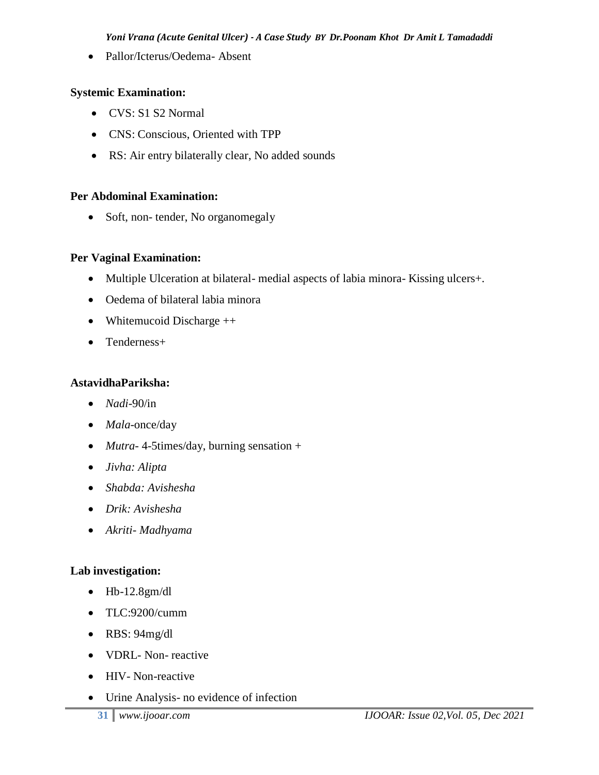Pallor/Icterus/Oedema- Absent

#### **Systemic Examination:**

- CVS: S1 S2 Normal
- CNS: Conscious, Oriented with TPP
- RS: Air entry bilaterally clear, No added sounds

#### **Per Abdominal Examination:**

• Soft, non- tender, No organomegaly

#### **Per Vaginal Examination:**

- Multiple Ulceration at bilateral- medial aspects of labia minora- Kissing ulcers+.
- Oedema of bilateral labia minora
- Whitemucoid Discharge ++
- Tenderness+

#### **AstavidhaPariksha:**

- *Nadi*-90/in
- *Mala*-once/day
- *Mutra-* 4-5times/day, burning sensation +
- *Jivha: Alipta*
- *Shabda: Avishesha*
- *Drik: Avishesha*
- *Akriti- Madhyama*

#### **Lab investigation:**

- $\bullet$  Hb-12.8gm/dl
- TLC:9200/cumm
- RBS: 94mg/dl
- VDRL- Non-reactive
- HIV- Non-reactive
- Urine Analysis- no evidence of infection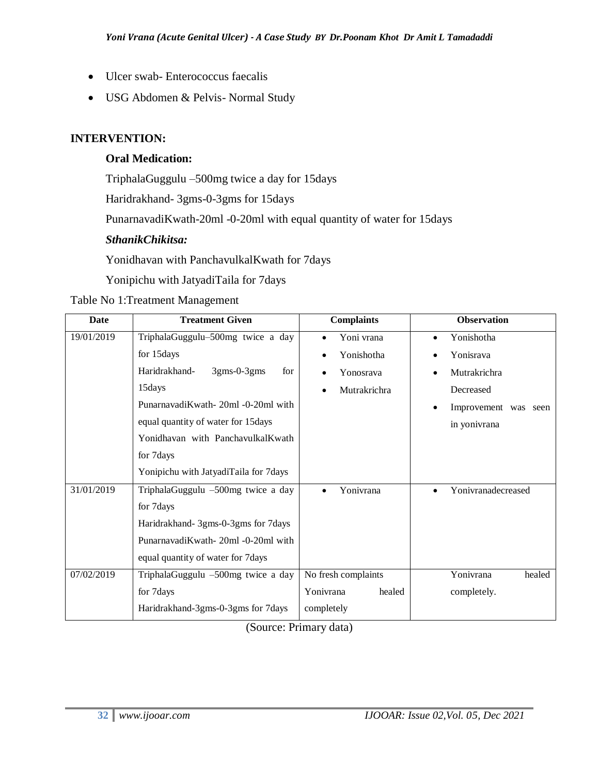- Ulcer swab- Enterococcus faecalis
- USG Abdomen & Pelvis- Normal Study

#### **INTERVENTION:**

#### **Oral Medication:**

TriphalaGuggulu –500mg twice a day for 15days

Haridrakhand- 3gms-0-3gms for 15days

PunarnavadiKwath-20ml -0-20ml with equal quantity of water for 15days

#### *SthanikChikitsa:*

Yonidhavan with PanchavulkalKwath for 7days

Yonipichu with JatyadiTaila for 7days

#### Table No 1:Treatment Management

| <b>Date</b> | <b>Treatment Given</b>                | <b>Complaints</b>       | <b>Observation</b>                |
|-------------|---------------------------------------|-------------------------|-----------------------------------|
| 19/01/2019  | TriphalaGuggulu-500mg twice a day     | Yoni vrana<br>$\bullet$ | Yonishotha<br>$\bullet$           |
|             | for 15days                            | Yonishotha              | Yonisrava                         |
|             | Haridrakhand-<br>$3gms-0-3gms$<br>for | Yonosrava               | Mutrakrichra                      |
|             | 15days                                | Mutrakrichra            | Decreased                         |
|             | PunarnavadiKwath - 20ml -0-20ml with  |                         | Improvement was seen<br>$\bullet$ |
|             | equal quantity of water for 15days    |                         | in yonivrana                      |
|             | Yonidhavan with PanchavulkalKwath     |                         |                                   |
|             | for 7days                             |                         |                                   |
|             | Yonipichu with JatyadiTaila for 7days |                         |                                   |
| 31/01/2019  | TriphalaGuggulu -500mg twice a day    | Yonivrana<br>$\bullet$  | Yonivranadecreased<br>$\bullet$   |
|             | for 7days                             |                         |                                   |
|             | Haridrakhand- 3gms-0-3gms for 7days   |                         |                                   |
|             | PunarnavadiKwath - 20ml -0-20ml with  |                         |                                   |
|             | equal quantity of water for 7days     |                         |                                   |
| 07/02/2019  | TriphalaGuggulu -500mg twice a day    | No fresh complaints     | Yonivrana<br>healed               |
|             | for 7days                             | Yonivrana<br>healed     | completely.                       |
|             | Haridrakhand-3gms-0-3gms for 7days    | completely              |                                   |

(Source: Primary data)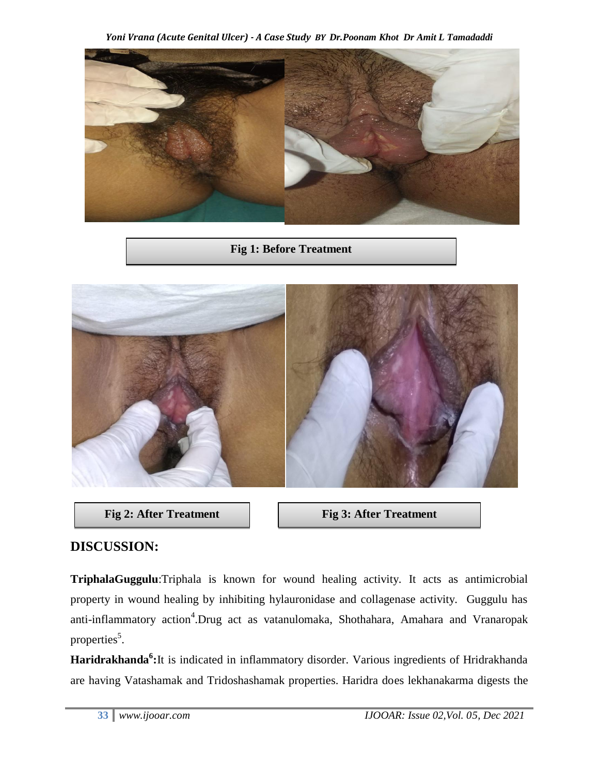*Yoni Vrana (Acute Genital Ulcer) - A Case Study BY Dr.Poonam Khot Dr Amit L Tamadaddi* 



**Fig 1: Before Treatment**





### **DISCUSSION:**

**TriphalaGuggulu**:Triphala is known for wound healing activity. It acts as antimicrobial property in wound healing by inhibiting hylauronidase and collagenase activity. Guggulu has anti-inflammatory action<sup>4</sup>.Drug act as vatanulomaka, Shothahara, Amahara and Vranaropak properties<sup>5</sup>.

**Haridrakhanda<sup>6</sup> :**It is indicated in inflammatory disorder. Various ingredients of Hridrakhanda are having Vatashamak and Tridoshashamak properties. Haridra does lekhanakarma digests the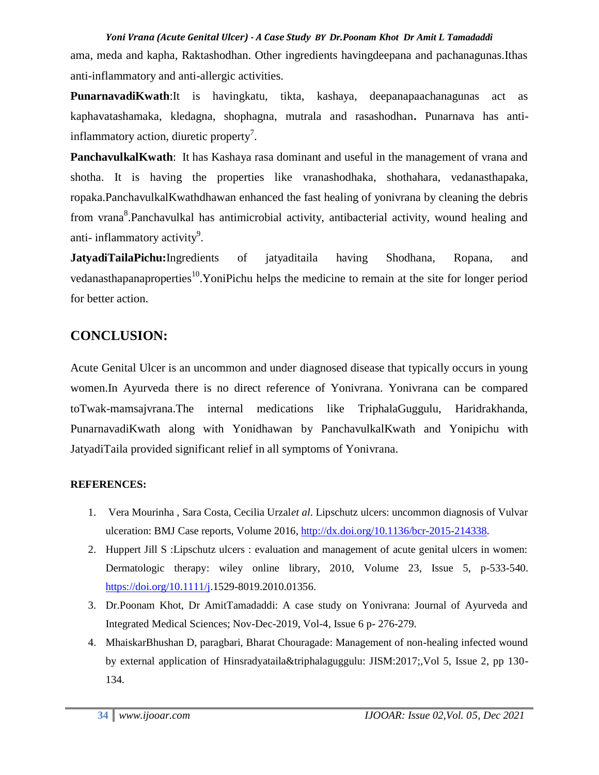#### *Yoni Vrana (Acute Genital Ulcer) - A Case Study BY Dr.Poonam Khot Dr Amit L Tamadaddi*

ama, meda and kapha, Raktashodhan. Other ingredients havingdeepana and pachanagunas.Ithas anti-inflammatory and anti-allergic activities.

**PunarnavadiKwath**:It is havingkatu, tikta, kashaya, deepanapaachanagunas act as kaphavatashamaka, kledagna, shophagna, mutrala and rasashodhan**.** Punarnava has antiinflammatory action, diuretic property<sup>7</sup>.

**PanchavulkalKwath**: It has Kashaya rasa dominant and useful in the management of vrana and shotha. It is having the properties like vranashodhaka, shothahara, vedanasthapaka, ropaka.PanchavulkalKwathdhawan enhanced the fast healing of yonivrana by cleaning the debris from vrana<sup>8</sup>.Panchavulkal has antimicrobial activity, antibacterial activity, wound healing and anti- inflammatory activity<sup>9</sup>.

**JatyadiTailaPichu:**Ingredients of jatyaditaila having Shodhana, Ropana, and vedanasthapanaproperties<sup>10</sup>.YoniPichu helps the medicine to remain at the site for longer period for better action.

## **CONCLUSION:**

Acute Genital Ulcer is an uncommon and under diagnosed disease that typically occurs in young women.In Ayurveda there is no direct reference of Yonivrana. Yonivrana can be compared toTwak-mamsajvrana.The internal medications like TriphalaGuggulu, Haridrakhanda, PunarnavadiKwath along with Yonidhawan by PanchavulkalKwath and Yonipichu with JatyadiTaila provided significant relief in all symptoms of Yonivrana.

#### **REFERENCES:**

- 1. Vera Mourinha , Sara Costa, Cecilia Urzal*et al*. Lipschutz ulcers: uncommon diagnosis of Vulvar ulceration: BMJ Case reports, Volume 2016, [http://dx.doi.org/10.1136/bcr-2015-214338.](http://dx.doi.org/10.1136/bcr-2015-214338)
- 2. Huppert Jill S :Lipschutz ulcers : evaluation and management of acute genital ulcers in women: Dermatologic therapy: wiley online library, 2010, Volume 23, Issue 5, p-533-540. [https://doi.org/10.1111/j.](https://doi.org/10.1111/j)1529-8019.2010.01356.
- 3. Dr.Poonam Khot, Dr AmitTamadaddi: A case study on Yonivrana: Journal of Ayurveda and Integrated Medical Sciences; Nov-Dec-2019, Vol-4, Issue 6 p- 276-279.
- 4. MhaiskarBhushan D, paragbari, Bharat Chouragade: Management of non-healing infected wound by external application of Hinsradyataila&triphalaguggulu: JISM:2017;,Vol 5, Issue 2, pp 130- 134.